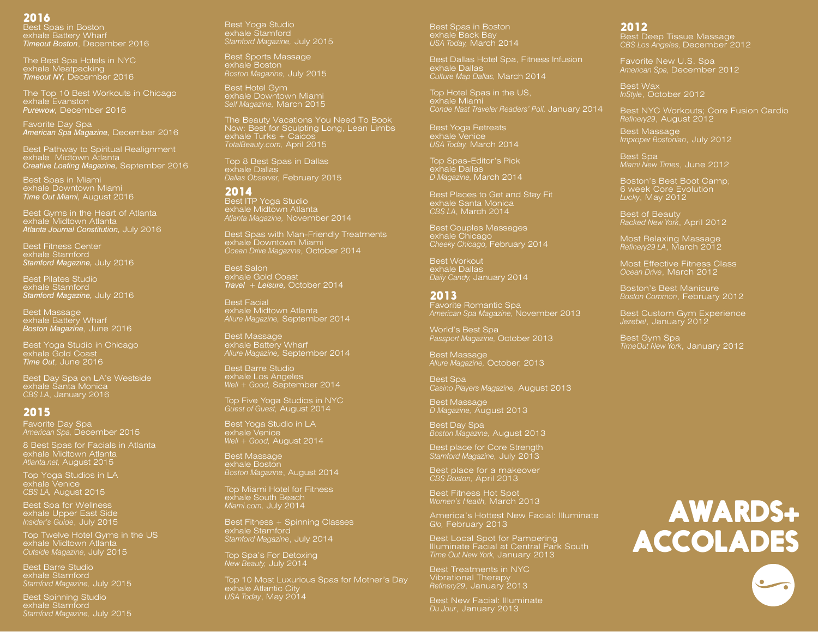# 2016

Best Spas in Boston exhale Battery Wharf *Timeout Boston*, December 2016

exhale Meatpacking *Timeout NY,* December 2016

The Top 10 Best Workouts in Chicago exhale Evanston *Purewow,* December 2016

Favorite Day Spa *American Spa Magazine,* December 2016

Best Pathway to Spiritual Realignment exhale Midtown Atlanta *Creative Loafing Magazine,* September 2016

Best Spas in Miami exhale Downtown Miami *Time Out Miami,* August 2016

Best Gyms in the Heart of Atlanta exhale Midtown Atlanta *Atlanta Journal Constitution,* July 2016

Best Fitness Center exhale Stamford *Stamford Magazine,* July 2016

Best Pilates Studio exhale Stamford *Stamford Magazine,* July 2016

Best Massage exhale Battery Wharf *Boston Magazine*, June 2016

Best Yoga Studio in Chicago exhale Gold Coast *Time Out*, June 2016

Best Day Spa on LA's Westside exhale Santa Monica *CBS LA*, January 2016

# 2015

Favorite Day Spa *American Spa,* December 2015

8 Best Spas for Facials in Atlanta exhale Midtown Atlanta *Atlanta.net,* August 2015

Top Yoga Studios in LA exhale Venice *CBS LA,* August 2015

Best Spa for Wellness exhale Upper East Side *Insider's Guide*, July 2015

exhale Midtown Atlanta *Outside Magazine,* July 2015

Best Barre Studio exhale Stamford *Stamford Magazine,* July 2015

Best Spinning Studio exhale Stamford *Stamford Magazine,* July 2015 Best Yoga Studio exhale Stamford *Stamford Magazine,* July 2015

Best Sports Massage exhale Boston *Boston Magazine,* July 2015

Best Hotel Gym exhale Downtown Miami *Self Magazine,* March 2015

The Beauty Vacations You Need To Book Now: Best for Sculpting Long, Lean Limbs exhale Turks + Caicos *TotalBeauty.com,* April 2015

Top 8 Best Spas in Dallas exhale Dallas *Dallas Observer,* February 2015

## 2014

Best ITP Yoga Studio exhale Midtown Atlanta *Atlanta Magazine,* November 2014

Best Spas with Man-Friendly Treatments *Ocean Drive Magazine*, October 2014

Best Salon exhale Gold Coast *Travel + Leisure,* October 2014

Best Facial exhale Midtown Atlanta *Allure Magazine,* September 2014

Best Massage exhale Battery Wharf *Allure Magazine,* September 2014

Best Barre Studio exhale Los Angeles *Well + Good,* September 2014

Top Five Yoga Studios in NYC *Guest of Guest,* August 2014

Best Yoga Studio in LA exhale Venice *Well + Good,* August 2014

Best Massage exhale Boston *Boston Magazine*, August 2014

Top Miami Hotel for Fitness exhale South Beach *Miami.com,* July 2014

Best Fitness + Spinning Classes exhale Stamford *Stamford Magazine*, July 2014

Top Spa's For Detoxing *New Beauty,* July 2014

Top 10 Most Luxurious Spas for Mother's Day exhale Atlantic City *USA Today*, May 2014

Best Spas in Boston exhale Back Bay *USA Today,* March 2014

Best Dallas Hotel Spa, Fitness Infusion exhale Dallas *Culture Map Dallas,* March 2014

Top Hotel Spas in the US, exhale Miami *Conde Nast Traveler Readers' Poll,* January 2014

Best Yoga Retreats exhale Venice *USA Today,* March 2014

Top Spas-Editor's Pick exhale Dallas *D Magazine,* March 2014

Best Places to Get and Stay Fit exhale Santa Monica *CBS LA*, March 2014

Best Couples Massages exhale Chicago *Cheeky Chicago,* February 2014

exhale Dallas *Daily Candy,* January 2014

#### 2013

Favorite Romantic Spa *American Spa Magazine,* November 2013

World's Best Spa *Passport Magazine,* October 2013

Best Massage *Allure Magazine,* October, 2013

Best Spa *Casino Players Magazine,* August 2013

Best Massage *D Magazine,* August 2013

Best Day Spa *Boston Magazine,* August 2013

Best place for Core Strength *Stamford Magazine,* July 2013

Best place for a makeover *CBS Boston,* April 2013

Best Fitness Hot Spot *Women's Health,* March 2013

America's Hottest New Facial: Illuminate *Glo,* February 2013

Best Local Spot for Pampering Illuminate Facial at Central Park South *Time Out New York,* January 2013

Vibrational Therapy

Best New Facial: Illuminate *Du Jour*, January 2013

# 2012

Best Deep Tissue Massage *CBS Los Angeles,* December 2012

Favorite New U.S. Spa *American Spa,* December 2012

Best Wax *InStyle*, October 2012

Best NYC Workouts; Core Fusion Cardio *Refinery29*, August 2012 Best Massage

*Improper Bostonian*, July 2012

*Miami New Times*, June 2012

Boston's Best Boot Camp; 6 week Core Evolution *Lucky*, May 2012

Best of Beauty *Racked New York*, April 2012

Most Relaxing Massage *Refinery29 LA*, March 2012

Most Effective Fitness Class *Ocean Drive*, March 2012

Boston's Best Manicure *Boston Common*, February 2012

Best Custom Gym Experience *Jezebel*, January 2012

Best Gym Spa *TimeOut New York*, January 2012